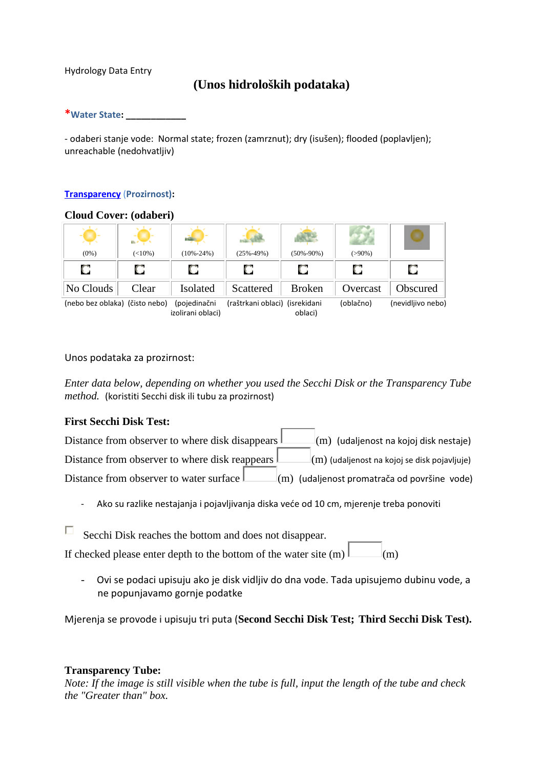#### Hydrology Data Entry

## **(Unos hidroloških podataka)**

#### \*Water State: \_\_\_\_\_\_\_\_\_\_\_\_

- odaberi stanje vode: Normal state; frozen (zamrznut); dry (isušen); flooded (poplavljen); unreachable (nedohvatljiv)

## Transparency (Prozirnost):

#### **Cloud Cover: (odaberi)**

| <b>Contract Contract</b><br>$(0\%)$ | m.<br>$(<10\%)$ | $(10\% - 24\%)$ | $(25\% - 49\%)$                | $(50\% - 90\%)$ | $(>90\%)$ |                   |
|-------------------------------------|-----------------|-----------------|--------------------------------|-----------------|-----------|-------------------|
|                                     |                 |                 |                                |                 |           |                   |
| No Clouds                           | Clear           | Isolated        | Scattered                      | <b>Broken</b>   | Overcast  | Obscured          |
| (neho hez ohlaka) (čisto neho)      |                 | Inoiedinačni    | (raštrkani ohlaci) (isrekidani |                 | (ohlačno) | (nevidlijvo neho) |

(nebo bez oblaka) (čisto nebo) (pojedinačni (raštrkani oblaci) (isrekidani (oblačno) (nevidljivo nebo) izolirani oblaci) oblaci)

#### Unos podataka za prozirnost:

*Enter data below, depending on whether you used the Secchi Disk or the Transparency Tube method.* (koristiti Secchi disk ili tubu za prozirnost)

## **First Secchi Disk Test:**

| Distance from observer to where disk disappears I      | $\vert$ (m) (udaljenost na kojoj disk nestaje)           |
|--------------------------------------------------------|----------------------------------------------------------|
| Distance from observer to where disk reappears $\perp$ | $\vert$ (m) (udaljenost na kojoj se disk pojavljuje)     |
| Distance from observer to water surface $\perp$        | $\mathbb{I}(m)$ (udaljenost promatrača od površine vode) |

- Ako su razlike nestajanja i pojavljivanja diska veće od 10 cm, mjerenje treba ponoviti

 $\Box$  Secchi Disk reaches the bottom and does not disappear.

If checked please enter depth to the bottom of the water site  $(m)$   $\Box$   $(m)$ 

- Ovi se podaci upisuju ako je disk vidljiv do dna vode. Tada upisujemo dubinu vode, a ne popunjavamo gornje podatke

Mjerenja se provode i upisuju tri puta (**Second Secchi Disk Test; Third Secchi Disk Test).** 

## **Transparency Tube:**

*Note: If the image is still visible when the tube is full, input the length of the tube and check the "Greater than" box.*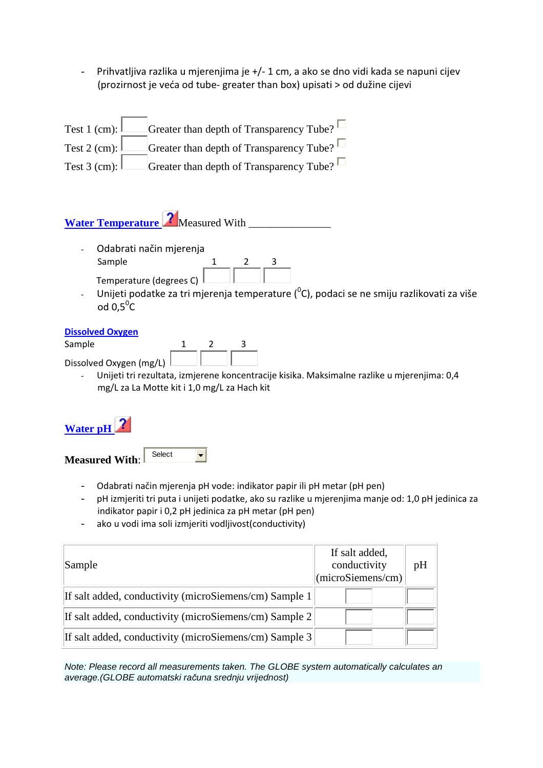- Prihvatljiva razlika u mjerenjima je +/- 1 cm, a ako se dno vidi kada se napuni cijev (prozirnost je veća od tube- greater than box) upisati > od dužine cijevi

| Test 1 (cm): $\vert$   | Greater than depth of Transparency Tube? |
|------------------------|------------------------------------------|
| Test 2 (cm): $\lfloor$ | Greater than depth of Transparency Tube? |
| Test 3 (cm): $\lfloor$ | Greater than depth of Transparency Tube? |

# Water Temperature **7** Measured With

- Odabrati način mjerenja Sample  $\frac{1}{2}$   $\frac{2}{3}$ <br>Temperature (degrees  $\bigcap$ Temperature (degrees C)
- Unijeti podatke za tri mjerenja temperature ( $^0$ C), podaci se ne smiju razlikovati za više od  $0,5^{\degree}$ C

## Dissolved Oxygen

| Sample                  |  |  |
|-------------------------|--|--|
| Dissolved Oxygen (mg/L) |  |  |

- Unijeti tri rezultata, izmjerene koncentracije kisika. Maksimalne razlike u mjerenjima: 0,4 mg/L za La Motte kit i 1,0 mg/L za Hach kit

## **Water pH**

**Measured With**:

- **Select**
- Odabrati način mjerenja pH vode: indikator papir ili pH metar (pH pen)
- pH izmjeriti tri puta i unijeti podatke, ako su razlike u mjerenjima manje od: 1,0 pH jedinica za indikator papir i 0,2 pH jedinica za pH metar (pH pen)
- ako u vodi ima soli izmjeriti vodljivost(conductivity)

 $\overline{\phantom{a}}$ 

| Sample                                                 | If salt added,<br>conductivity<br>$ $ (microSiemens/cm) $ $ | pH |
|--------------------------------------------------------|-------------------------------------------------------------|----|
| If salt added, conductivity (microSiemens/cm) Sample 1 |                                                             |    |
| If salt added, conductivity (microSiemens/cm) Sample 2 |                                                             |    |
| If salt added, conductivity (microSiemens/cm) Sample 3 |                                                             |    |

Note: Please record all measurements taken. The GLOBE system automatically calculates an average.(GLOBE automatski računa srednju vrijednost)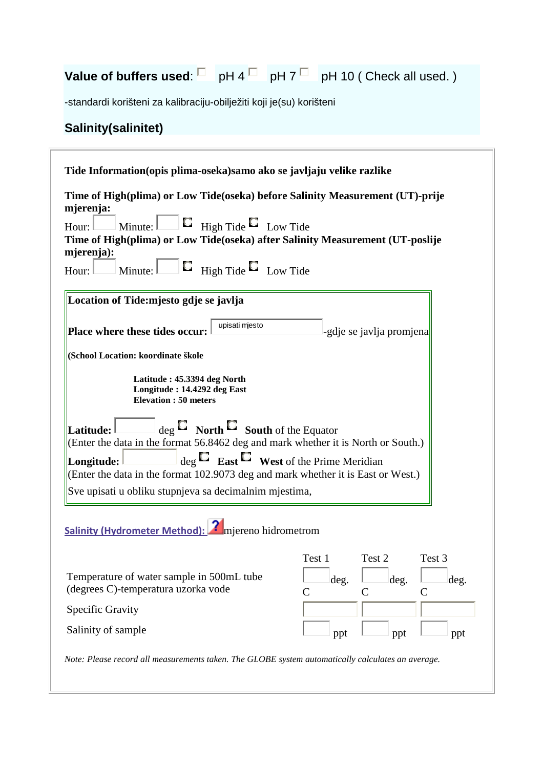# **Value of buffers used:**  $\Box$  pH 4  $\Box$  pH 7  $\Box$  pH 10 ( Check all used. )

-standardi korišteni za kalibraciju-obilježiti koji je(su) korišteni

## **Salinity(salinitet)**

| Tide Information (opis plima-oseka) samo ako se javljaju velike razlike                                                                                                                                                                                                                                    |                                                                                           |  |  |
|------------------------------------------------------------------------------------------------------------------------------------------------------------------------------------------------------------------------------------------------------------------------------------------------------------|-------------------------------------------------------------------------------------------|--|--|
| Time of High(plima) or Low Tide(oseka) before Salinity Measurement (UT)-prije<br>mjerenja:<br>Minute: $\Box$ High Tide $\Box$ Low Tide<br>Hour:<br>Time of High(plima) or Low Tide(oseka) after Salinity Measurement (UT-poslije<br>mjerenja):<br>Minute: $\Box$ $\Box$ High Tide $\Box$ Low Tide<br>Hour: |                                                                                           |  |  |
| Location of Tide: mjesto gdje se javlja                                                                                                                                                                                                                                                                    |                                                                                           |  |  |
| upisati mjesto<br>Place where these tides occur:                                                                                                                                                                                                                                                           | -gdje se javlja promjena                                                                  |  |  |
| (School Location: koordinate škole                                                                                                                                                                                                                                                                         |                                                                                           |  |  |
| Latitude: 45.3394 deg North<br>Longitude: 14.4292 deg East<br><b>Elevation : 50 meters</b>                                                                                                                                                                                                                 |                                                                                           |  |  |
| $\log \Box$ North $\Box$ South of the Equator<br>Latitude:<br>(Enter the data in the format 56.8462 deg and mark whether it is North or South.)<br>$\log \Xi$ East $\Xi$ West of the Prime Meridian<br>Longitude:<br>Enter the data in the format 102.9073 deg and mark whether it is East or West.)       |                                                                                           |  |  |
| Sve upisati u obliku stupnjeva sa decimalnim mjestima,                                                                                                                                                                                                                                                     |                                                                                           |  |  |
| Salinity (Hydrometer Method): miereno hidrometrom                                                                                                                                                                                                                                                          |                                                                                           |  |  |
| Temperature of water sample in 500mL tube<br>(degrees C)-temperatura uzorka vode                                                                                                                                                                                                                           | Test 1<br>Test 2<br>Test 3<br>deg.<br>deg.<br>deg.<br>$\mathcal{C}$<br>$\mathcal{C}$<br>C |  |  |
| Specific Gravity                                                                                                                                                                                                                                                                                           |                                                                                           |  |  |
| Salinity of sample                                                                                                                                                                                                                                                                                         | ppt<br>ppt<br>ppt                                                                         |  |  |
| Note: Please record all measurements taken. The GLOBE system automatically calculates an average.                                                                                                                                                                                                          |                                                                                           |  |  |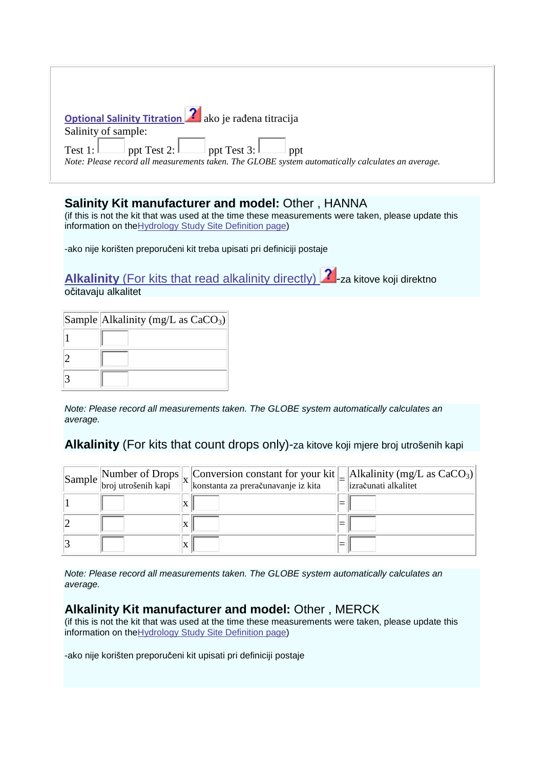| <b>Optional Salinity Titration 2</b> ako je rađena titracija<br>Salinity of sample:                                                      |  |
|------------------------------------------------------------------------------------------------------------------------------------------|--|
| Test 1: ppt Test 2: ppt Test 3: ppt<br>Note: Please record all measurements taken. The GLOBE system automatically calculates an average. |  |

## **Salinity Kit manufacturer and model:** Other , HANNA

(if this is not the kit that was used at the time these measurements were taken, please update this information on the Hydrology Study Site Definition page)

-ako nije korišten preporučeni kit treba upisati pri definiciji postaje

**Alkalinity** (For kits that read alkalinity directly) **2** -za kitove koji direktno očitavaju alkalitet

| Sample Alkalinity (mg/L as $CaCO3$ ) |
|--------------------------------------|
|                                      |
|                                      |
|                                      |

Note: Please record all measurements taken. The GLOBE system automatically calculates an average.

## **Alkalinity** (For kits that count drops only)-za kitove koji mjere broj utrošenih kapi

|  | $\begin{array}{ l l }\hline \text{Sample} & \text{Number of Drops} & \text{Cons} & \text{Consation constant for your kit} \\ \hline \text{broj utrošenih kapi} & \text{konstanta za preračunavanje iz kita} \end{array}$<br>konstanta za preračunavanje iz kita | Alkalinity (mg/L as $CaCO3$ )<br>izračunati alkalitet |
|--|-----------------------------------------------------------------------------------------------------------------------------------------------------------------------------------------------------------------------------------------------------------------|-------------------------------------------------------|
|  |                                                                                                                                                                                                                                                                 |                                                       |
|  |                                                                                                                                                                                                                                                                 |                                                       |
|  |                                                                                                                                                                                                                                                                 |                                                       |

Note: Please record all measurements taken. The GLOBE system automatically calculates an average.

## **Alkalinity Kit manufacturer and model:** Other , MERCK

(if this is not the kit that was used at the time these measurements were taken, please update this information on theHydrology Study Site Definition page)

-ako nije korišten preporučeni kit upisati pri definiciji postaje